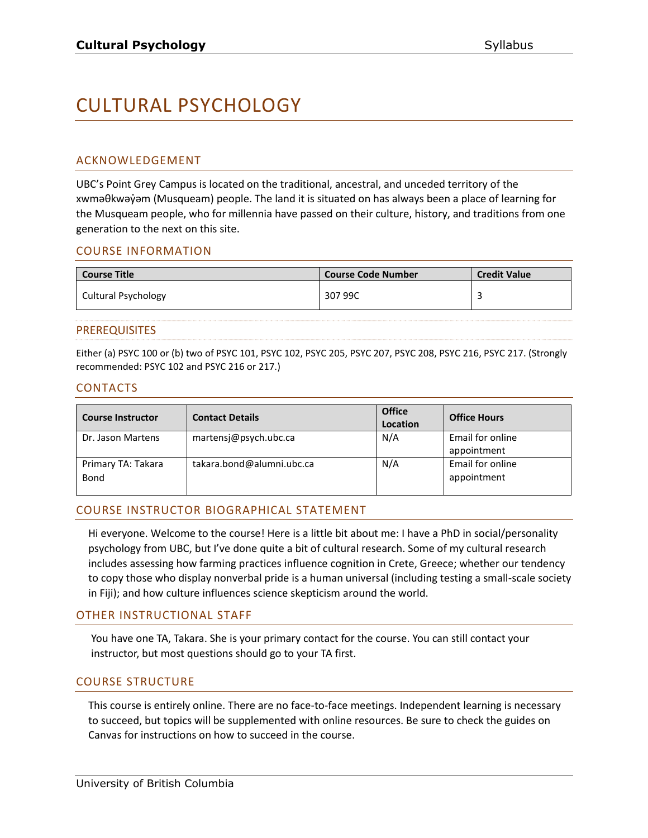# CULTURAL PSYCHOLOGY

# ACKNOWLEDGEMENT

UBC's Point Grey Campus is located on the traditional, ancestral, and unceded territory of the xwməθkwəy̓əm (Musqueam) people. The land it is situated on has always been a place of learning for the Musqueam people, who for millennia have passed on their culture, history, and traditions from one generation to the next on this site.

# COURSE INFORMATION

| <b>Course Title</b> | <b>Course Code Number</b> | <b>Credit Value</b> |
|---------------------|---------------------------|---------------------|
| Cultural Psychology | 307 99C                   |                     |

#### PREREQUISITES

Either (a) PSYC 100 or (b) two of PSYC 101, PSYC 102, PSYC 205, PSYC 207, PSYC 208, PSYC 216, PSYC 217. (Strongly recommended: PSYC 102 and PSYC 216 or 217.)

#### CONTACTS

| <b>Course Instructor</b>   | <b>Contact Details</b>    | <b>Office</b><br>Location | <b>Office Hours</b>             |
|----------------------------|---------------------------|---------------------------|---------------------------------|
| Dr. Jason Martens          | martensj@psych.ubc.ca     | N/A                       | Email for online<br>appointment |
| Primary TA: Takara<br>Bond | takara.bond@alumni.ubc.ca | N/A                       | Email for online<br>appointment |

# COURSE INSTRUCTOR BIOGRAPHICAL STATEMENT

Hi everyone. Welcome to the course! Here is a little bit about me: I have a PhD in social/personality psychology from UBC, but I've done quite a bit of cultural research. Some of my cultural research includes assessing how farming practices influence cognition in Crete, Greece; whether our tendency to copy those who display nonverbal pride is a human universal (including testing a small-scale society in Fiji); and how culture influences science skepticism around the world.

#### OTHER INSTRUCTIONAL STAFF

You have one TA, Takara. She is your primary contact for the course. You can still contact your instructor, but most questions should go to your TA first.

# COURSE STRUCTURE

This course is entirely online. There are no face-to-face meetings. Independent learning is necessary to succeed, but topics will be supplemented with online resources. Be sure to check the guides on Canvas for instructions on how to succeed in the course.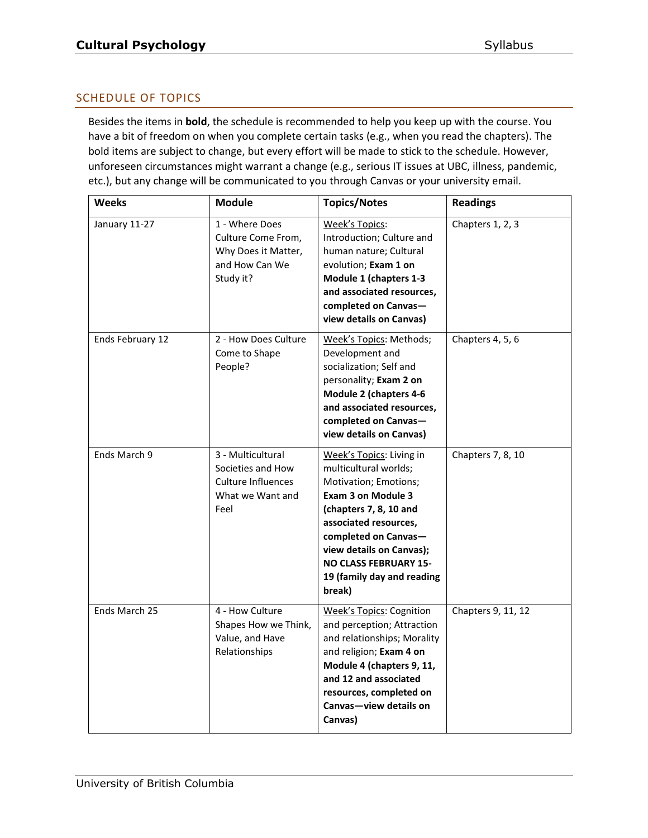# SCHEDULE OF TOPICS

Besides the items in **bold**, the schedule is recommended to help you keep up with the course. You have a bit of freedom on when you complete certain tasks (e.g., when you read the chapters). The bold items are subject to change, but every effort will be made to stick to the schedule. However, unforeseen circumstances might warrant a change (e.g., serious IT issues at UBC, illness, pandemic, etc.), but any change will be communicated to you through Canvas or your university email.

| Weeks            | <b>Module</b>                                                                              | <b>Topics/Notes</b>                                                                                                                                                                                                                                                                    | <b>Readings</b>    |
|------------------|--------------------------------------------------------------------------------------------|----------------------------------------------------------------------------------------------------------------------------------------------------------------------------------------------------------------------------------------------------------------------------------------|--------------------|
| January 11-27    | 1 - Where Does<br>Culture Come From,<br>Why Does it Matter,<br>and How Can We<br>Study it? | Week's Topics:<br>Introduction; Culture and<br>human nature; Cultural<br>evolution; Exam 1 on<br>Module 1 (chapters 1-3<br>and associated resources,<br>completed on Canvas-<br>view details on Canvas)                                                                                | Chapters 1, 2, 3   |
| Ends February 12 | 2 - How Does Culture<br>Come to Shape<br>People?                                           | Week's Topics: Methods;<br>Development and<br>socialization; Self and<br>personality; Exam 2 on<br><b>Module 2 (chapters 4-6</b><br>and associated resources,<br>completed on Canvas-<br>view details on Canvas)                                                                       | Chapters 4, 5, 6   |
| Ends March 9     | 3 - Multicultural<br>Societies and How<br>Culture Influences<br>What we Want and<br>Feel   | Week's Topics: Living in<br>multicultural worlds;<br>Motivation; Emotions;<br><b>Exam 3 on Module 3</b><br>(chapters 7, 8, 10 and<br>associated resources,<br>completed on Canvas-<br>view details on Canvas);<br><b>NO CLASS FEBRUARY 15-</b><br>19 (family day and reading<br>break) | Chapters 7, 8, 10  |
| Ends March 25    | 4 - How Culture<br>Shapes How we Think,<br>Value, and Have<br>Relationships                | <b>Week's Topics: Cognition</b><br>and perception; Attraction<br>and relationships; Morality<br>and religion; Exam 4 on<br>Module 4 (chapters 9, 11,<br>and 12 and associated<br>resources, completed on<br>Canvas-view details on<br>Canvas)                                          | Chapters 9, 11, 12 |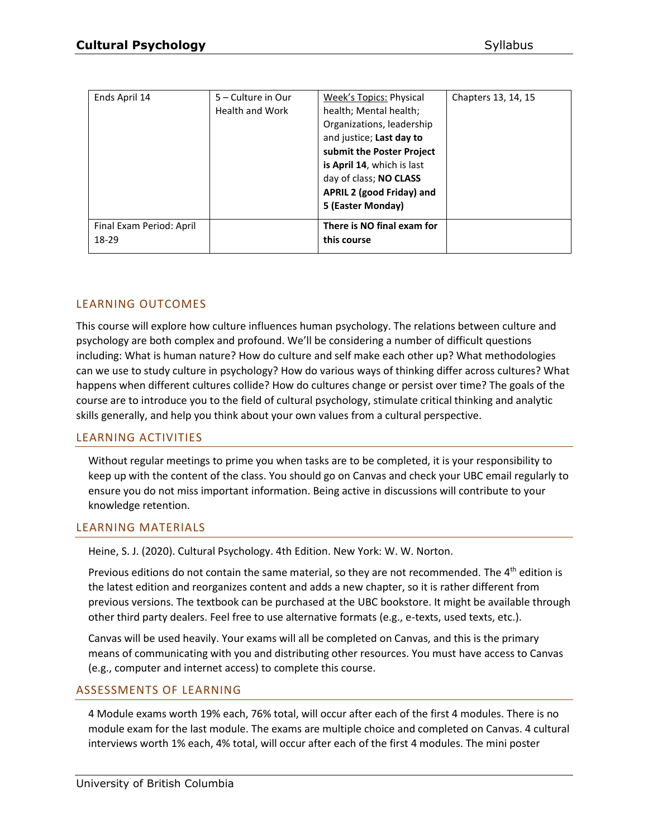| Ends April 14                     | 5 – Culture in Our<br><b>Health and Work</b> | Week's Topics: Physical<br>health; Mental health;<br>Organizations, leadership<br>and justice; Last day to<br>submit the Poster Project<br>is April 14, which is last<br>day of class; NO CLASS<br>APRIL 2 (good Friday) and<br>5 (Easter Monday) | Chapters 13, 14, 15 |
|-----------------------------------|----------------------------------------------|---------------------------------------------------------------------------------------------------------------------------------------------------------------------------------------------------------------------------------------------------|---------------------|
| Final Exam Period: April<br>18-29 |                                              | There is NO final exam for<br>this course                                                                                                                                                                                                         |                     |

#### LEARNING OUTCOMES

This course will explore how culture influences human psychology. The relations between culture and psychology are both complex and profound. We'll be considering a number of difficult questions including: What is human nature? How do culture and self make each other up? What methodologies can we use to study culture in psychology? How do various ways of thinking differ across cultures? What happens when different cultures collide? How do cultures change or persist over time? The goals of the course are to introduce you to the field of cultural psychology, stimulate critical thinking and analytic skills generally, and help you think about your own values from a cultural perspective.

#### LEARNING ACTIVITIES

Without regular meetings to prime you when tasks are to be completed, it is your responsibility to keep up with the content of the class. You should go on Canvas and check your UBC email regularly to ensure you do not miss important information. Being active in discussions will contribute to your knowledge retention.

#### LEARNING MATERIALS

Heine, S. J. (2020). Cultural Psychology. 4th Edition. New York: W. W. Norton.

Previous editions do not contain the same material, so they are not recommended. The  $4<sup>th</sup>$  edition is the latest edition and reorganizes content and adds a new chapter, so it is rather different from previous versions. The textbook can be purchased at the UBC bookstore. It might be available through other third party dealers. Feel free to use alternative formats (e.g., e-texts, used texts, etc.).

Canvas will be used heavily. Your exams will all be completed on Canvas, and this is the primary means of communicating with you and distributing other resources. You must have access to Canvas (e.g., computer and internet access) to complete this course.

#### ASSESSMENTS OF LEARNING

4 Module exams worth 19% each, 76% total, will occur after each of the first 4 modules. There is no module exam for the last module. The exams are multiple choice and completed on Canvas. 4 cultural interviews worth 1% each, 4% total, will occur after each of the first 4 modules. The mini poster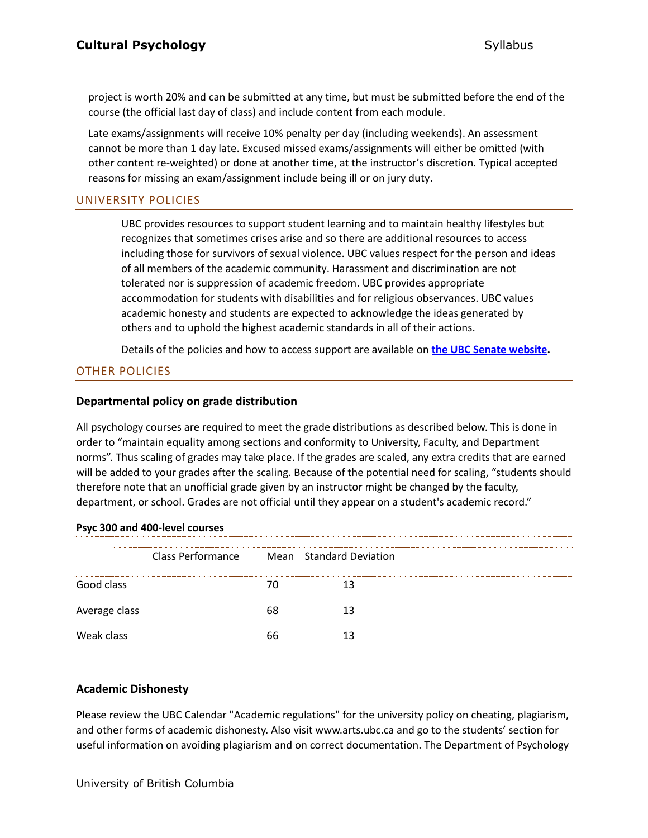project is worth 20% and can be submitted at any time, but must be submitted before the end of the course (the official last day of class) and include content from each module.

Late exams/assignments will receive 10% penalty per day (including weekends). An assessment cannot be more than 1 day late. Excused missed exams/assignments will either be omitted (with other content re-weighted) or done at another time, at the instructor's discretion. Typical accepted reasons for missing an exam/assignment include being ill or on jury duty.

# UNIVERSITY POLICIES

UBC provides resources to support student learning and to maintain healthy lifestyles but recognizes that sometimes crises arise and so there are additional resources to access including those for survivors of sexual violence. UBC values respect for the person and ideas of all members of the academic community. Harassment and discrimination are not tolerated nor is suppression of academic freedom. UBC provides appropriate accommodation for students with disabilities and for religious observances. UBC values academic honesty and students are expected to acknowledge the ideas generated by others and to uphold the highest academic standards in all of their actions.

Details of the policies and how to access support are available on **[the UBC Senate website.](https://senate.ubc.ca/policies-resources-support-student-success)**

# OTHER POLICIES

# **Departmental policy on grade distribution**

All psychology courses are required to meet the grade distributions as described below. This is done in order to "maintain equality among sections and conformity to University, Faculty, and Department norms". Thus scaling of grades may take place. If the grades are scaled, any extra credits that are earned will be added to your grades after the scaling. Because of the potential need for scaling, "students should therefore note that an unofficial grade given by an instructor might be changed by the faculty, department, or school. Grades are not official until they appear on a student's academic record."

#### **Psyc 300 and 400-level courses**

|               | <b>Class Performance</b> |    | Mean Standard Deviation |  |
|---------------|--------------------------|----|-------------------------|--|
| Good class    |                          | 70 | 13                      |  |
| Average class |                          | 68 | 13                      |  |
| Weak class    |                          | 66 | 13                      |  |

# **Academic Dishonesty**

Please review the UBC Calendar "Academic regulations" for the university policy on cheating, plagiarism, and other forms of academic dishonesty. Also visit www.arts.ubc.ca and go to the students' section for useful information on avoiding plagiarism and on correct documentation. The Department of Psychology